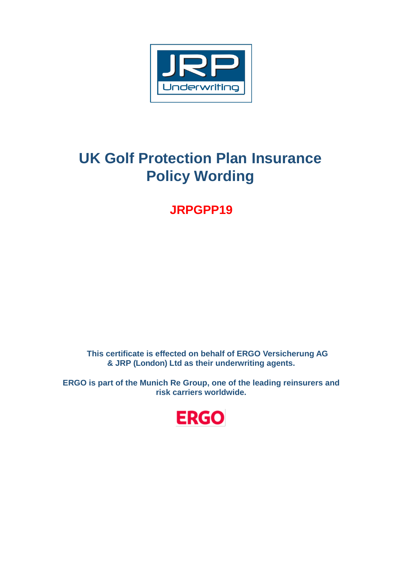

# **UK Golf Protection Plan Insurance Policy Wording**

**JRPGPP19**

**This certificate is effected on behalf of ERGO Versicherung AG & JRP (London) Ltd as their underwriting agents.**

**ERGO is part of the Munich Re Group, one of the leading reinsurers and risk carriers worldwide.**

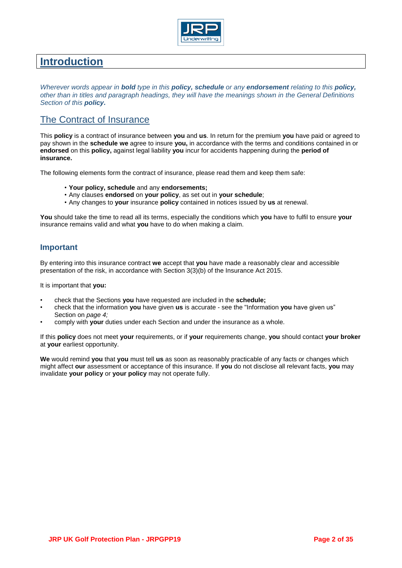

# **Introduction**

*Wherever words appear in bold type in this policy, schedule or any endorsement relating to this policy, other than in titles and paragraph headings, they will have the meanings shown in the General Definitions Section of this policy.*

# The Contract of Insurance

This **policy** is a contract of insurance between **you** and **us**. In return for the premium **you** have paid or agreed to pay shown in the **schedule we** agree to insure **you,** in accordance with the terms and conditions contained in or **endorsed** on this **policy,** against legal liability **you** incur for accidents happening during the **period of insurance.**

The following elements form the contract of insurance, please read them and keep them safe:

- **Your policy, schedule** and any **endorsements;**
- Any clauses **endorsed** on **your policy**, as set out in **your schedule**;
- Any changes to **your** insurance **policy** contained in notices issued by **us** at renewal.

**You** should take the time to read all its terms, especially the conditions which **you** have to fulfil to ensure **your**  insurance remains valid and what **you** have to do when making a claim.

# **Important**

By entering into this insurance contract **we** accept that **you** have made a reasonably clear and accessible presentation of the risk, in accordance with Section 3(3)(b) of the Insurance Act 2015.

It is important that **you:**

- check that the Sections **you** have requested are included in the **schedule;**
- check that the information **you** have given **us** is accurate see the "Information **you** have given us" Section on *page 4;*
- comply with **your** duties under each Section and under the insurance as a whole.

If this **policy** does not meet **your** requirements, or if **your** requirements change, **you** should contact **your broker**  at **your** earliest opportunity.

**We** would remind **you** that **you** must tell **us** as soon as reasonably practicable of any facts or changes which might affect **our** assessment or acceptance of this insurance. If **you** do not disclose all relevant facts, **you** may invalidate **your policy** or **your policy** may not operate fully.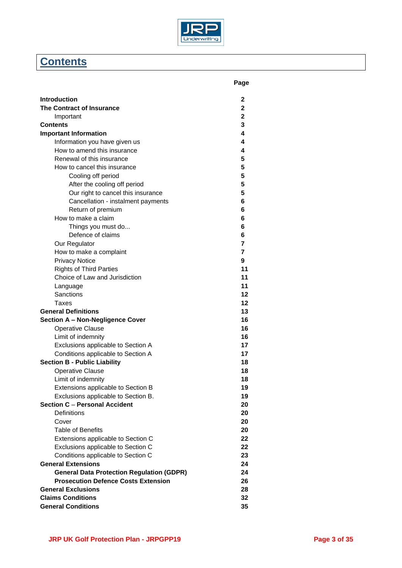

# **Contents**

|                                                                  | Page           |
|------------------------------------------------------------------|----------------|
| Introduction                                                     | 2              |
| <b>The Contract of Insurance</b>                                 | $\mathbf{2}$   |
| Important                                                        | $\mathbf 2$    |
| Contents                                                         | 3              |
| <b>Important Information</b>                                     | 4              |
| Information you have given us                                    | 4              |
| How to amend this insurance                                      | 4              |
| Renewal of this insurance                                        | 5              |
| How to cancel this insurance                                     | 5              |
| Cooling off period                                               | 5              |
| After the cooling off period                                     | 5              |
| Our right to cancel this insurance                               | 5              |
| Cancellation - instalment payments                               | 6              |
| Return of premium                                                | 6              |
| How to make a claim                                              | 6              |
| Things you must do                                               | 6              |
| Defence of claims                                                | 6              |
| Our Regulator                                                    | 7              |
| How to make a complaint                                          | $\overline{7}$ |
| <b>Privacy Notice</b>                                            | 9              |
|                                                                  | 11             |
| <b>Rights of Third Parties</b><br>Choice of Law and Jurisdiction | 11             |
|                                                                  | 11             |
| Language<br>Sanctions                                            | 12             |
|                                                                  | 12             |
| Taxes                                                            |                |
| <b>General Definitions</b>                                       | 13             |
| Section A - Non-Negligence Cover                                 | 16             |
| <b>Operative Clause</b>                                          | 16             |
| Limit of indemnity                                               | 16             |
| Exclusions applicable to Section A                               | 17             |
| Conditions applicable to Section A                               | 17             |
| <b>Section B - Public Liability</b>                              | 18             |
| <b>Operative Clause</b>                                          | 18             |
| Limit of indemnity                                               | 18             |
| Extensions applicable to Section B                               | 19             |
| Exclusions applicable to Section B.                              | 19             |
| <b>Section C - Personal Accident</b>                             | 20             |
| Definitions                                                      | 20             |
| Cover                                                            | 20             |
| <b>Table of Benefits</b>                                         | 20             |
| Extensions applicable to Section C                               | 22             |
| Exclusions applicable to Section C                               | 22             |
| Conditions applicable to Section C                               | 23             |
| General Extensions                                               | 24             |
| <b>General Data Protection Regulation (GDPR)</b>                 | 24             |
| <b>Prosecution Defence Costs Extension</b>                       | 26             |
| <b>General Exclusions</b>                                        | 28             |
| <b>Claims Conditions</b>                                         | 32             |
| <b>General Conditions</b>                                        | 35             |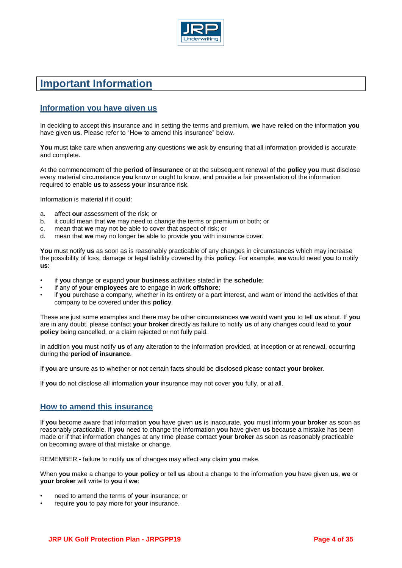

# **Important Information**

# **Information you have given us**

In deciding to accept this insurance and in setting the terms and premium, **we** have relied on the information **you**  have given **us**. Please refer to "How to amend this insurance" below.

**You** must take care when answering any questions **we** ask by ensuring that all information provided is accurate and complete.

At the commencement of the **period of insurance** or at the subsequent renewal of the **policy you** must disclose every material circumstance **you** know or ought to know, and provide a fair presentation of the information required to enable **us** to assess **your** insurance risk.

Information is material if it could:

- a. affect **our** assessment of the risk; or
- b. it could mean that **we** may need to change the terms or premium or both; or
- c. mean that **we** may not be able to cover that aspect of risk; or
- d. mean that **we** may no longer be able to provide **you** with insurance cover.

**You** must notify **us** as soon as is reasonably practicable of any changes in circumstances which may increase the possibility of loss, damage or legal liability covered by this **policy**. For example, **we** would need **you** to notify **us**:

- if **you** change or expand **your business** activities stated in the **schedule**;
- if any of **your employees** are to engage in work **offshore**;
- if **you** purchase a company, whether in its entirety or a part interest, and want or intend the activities of that company to be covered under this **policy**.

These are just some examples and there may be other circumstances **we** would want **you** to tell **us** about. If **you**  are in any doubt, please contact **your broker** directly as failure to notify **us** of any changes could lead to **your policy** being cancelled, or a claim rejected or not fully paid.

In addition **you** must notify **us** of any alteration to the information provided, at inception or at renewal, occurring during the **period of insurance**.

If **you** are unsure as to whether or not certain facts should be disclosed please contact **your broker**.

If **you** do not disclose all information **your** insurance may not cover **you** fully, or at all.

# **How to amend this insurance**

If **you** become aware that information **you** have given **us** is inaccurate, **you** must inform **your broker** as soon as reasonably practicable. If **you** need to change the information **you** have given **us** because a mistake has been made or if that information changes at any time please contact **your broker** as soon as reasonably practicable on becoming aware of that mistake or change.

REMEMBER - failure to notify **us** of changes may affect any claim **you** make.

When **you** make a change to **your policy** or tell **us** about a change to the information **you** have given **us**, **we** or **your broker** will write to **you** if **we**:

- need to amend the terms of **your** insurance; or
- require **you** to pay more for **your** insurance.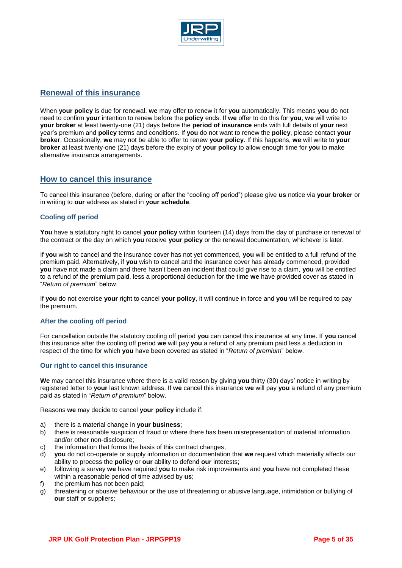

# **Renewal of this insurance**

When **your policy** is due for renewal, **we** may offer to renew it for **you** automatically. This means **you** do not need to confirm **your** intention to renew before the **policy** ends. If **we** offer to do this for **you**, **we** will write to **your broker** at least twenty-one (21) days before the **period of insurance** ends with full details of **your** next year's premium and **policy** terms and conditions. If **you** do not want to renew the **policy**, please contact **your broker**. Occasionally, **we** may not be able to offer to renew **your policy**. If this happens, **we** will write to **your broker** at least twenty-one (21) days before the expiry of **your policy** to allow enough time for **you** to make alternative insurance arrangements.

# **How to cancel this insurance**

To cancel this insurance (before, during or after the "cooling off period") please give **us** notice via **your broker** or in writing to **our** address as stated in **your schedule**.

# **Cooling off period**

**You** have a statutory right to cancel **your policy** within fourteen (14) days from the day of purchase or renewal of the contract or the day on which **you** receive **your policy** or the renewal documentation, whichever is later.

If **you** wish to cancel and the insurance cover has not yet commenced, **you** will be entitled to a full refund of the premium paid. Alternatively, if **you** wish to cancel and the insurance cover has already commenced, provided **you** have not made a claim and there hasn't been an incident that could give rise to a claim, **you** will be entitled to a refund of the premium paid, less a proportional deduction for the time **we** have provided cover as stated in "*Return of premium*" below.

If **you** do not exercise **your** right to cancel **your policy**, it will continue in force and **you** will be required to pay the premium.

# **After the cooling off period**

For cancellation outside the statutory cooling off period **you** can cancel this insurance at any time. If **you** cancel this insurance after the cooling off period **we** will pay **you** a refund of any premium paid less a deduction in respect of the time for which **you** have been covered as stated in "*Return of premium*" below.

# **Our right to cancel this insurance**

**We** may cancel this insurance where there is a valid reason by giving **you** thirty (30) days' notice in writing by registered letter to **your** last known address. If **we** cancel this insurance **we** will pay **you** a refund of any premium paid as stated in "*Return of premium*" below.

Reasons **we** may decide to cancel **your policy** include if:

- a) there is a material change in **your business**;
- b) there is reasonable suspicion of fraud or where there has been misrepresentation of material information and/or other non-disclosure;
- c) the information that forms the basis of this contract changes;
- d) **you** do not co-operate or supply information or documentation that **we** request which materially affects our ability to process the **policy** or **our** ability to defend **our** interests;
- e) following a survey **we** have required **you** to make risk improvements and **you** have not completed these within a reasonable period of time advised by **us**;
- f) the premium has not been paid;
- g) threatening or abusive behaviour or the use of threatening or abusive language, intimidation or bullying of **our** staff or suppliers;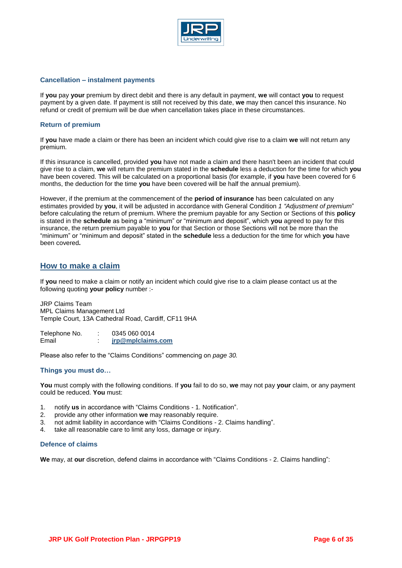

#### **Cancellation – instalment payments**

If **you** pay **your** premium by direct debit and there is any default in payment, **we** will contact **you** to request payment by a given date. If payment is still not received by this date, **we** may then cancel this insurance. No refund or credit of premium will be due when cancellation takes place in these circumstances.

# **Return of premium**

If **you** have made a claim or there has been an incident which could give rise to a claim **we** will not return any premium.

If this insurance is cancelled, provided **you** have not made a claim and there hasn't been an incident that could give rise to a claim, **we** will return the premium stated in the **schedule** less a deduction for the time for which **you**  have been covered. This will be calculated on a proportional basis (for example, if **you** have been covered for 6 months, the deduction for the time **you** have been covered will be half the annual premium).

However, if the premium at the commencement of the **period of insurance** has been calculated on any estimates provided by **you**, it will be adjusted in accordance with General Condition *1 "Adjustment of premium*" before calculating the return of premium. Where the premium payable for any Section or Sections of this **policy**  is stated in the **schedule** as being a "minimum" or "minimum and deposit", which **you** agreed to pay for this insurance, the return premium payable to **you** for that Section or those Sections will not be more than the "minimum" or "minimum and deposit" stated in the **schedule** less a deduction for the time for which **you** have been covered**.** 

# **How to make a claim**

If **you** need to make a claim or notify an incident which could give rise to a claim please contact us at the following quoting **your policy** number :-

JRP Claims Team MPL Claims Management Ltd Temple Court, 13A Cathedral Road, Cardiff, CF11 9HA

Telephone No. : 0345 060 0014 Email : **[jrp@mplclaims.com](mailto:jrp@mplclaims.com)**

Please also refer to the "Claims Conditions" commencing on *page 30.* 

# **Things you must do…**

**You** must comply with the following conditions. If **you** fail to do so, **we** may not pay **your** claim, or any payment could be reduced. **You** must:

- 1. notify **us** in accordance with "Claims Conditions 1. Notification".
- 2. provide any other information **we** may reasonably require.
- 3. not admit liability in accordance with "Claims Conditions 2. Claims handling".
- 4. take all reasonable care to limit any loss, damage or injury.

#### **Defence of claims**

**We** may, at **our** discretion, defend claims in accordance with "Claims Conditions - 2. Claims handling":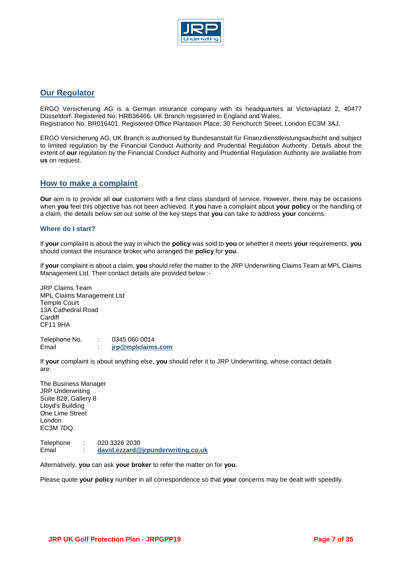

# **Our Regulator**

ERGO Versicherung AG is a German insurance company with its headquarters at Victoriaplatz 2, 40477 Düsseldorf. Registered No: HRB36466. UK Branch registered in England and Wales, Registration No. BR016401. Registered Office Plantation Place, 30 Fenchurch Street, London EC3M 3AJ.

ERGO Versicherung AG, UK Branch is authorised by Bundesanstalt für Finanzdienstleistungsaufsicht and subject to limited regulation by the Financial Conduct Authority and Prudential Regulation Authority. Details about the extent of **our** regulation by the Financial Conduct Authority and Prudential Regulation Authority are available from **us** on request.

# **How to make a complaint**

**Our** aim is to provide all **our** customers with a first class standard of service. However, there may be occasions when **you** feel this objective has not been achieved. If **you** have a complaint about **your policy** or the handling of a claim, the details below set out some of the key steps that **you** can take to address **your** concerns.

# **Where do I start?**

If **your** complaint is about the way in which the **policy** was sold to **you** or whether it meets **your** requirements, **you**  should contact the insurance broker who arranged the **policy** for **you**.

If **your** complaint is about a claim, **you** should refer the matter to the JRP Underwriting Claims Team at MPL Claims Management Ltd. Their contact details are provided below :-

JRP Claims Team MPL Claims Management Ltd Temple Court 13A Cathedral Road **Cardiff** CF11 9HA

Telephone No. : 0345 060 0014 Email : **[jrp@mplclaims.com](mailto:jrp@mplclaims.com)**

If **your** complaint is about anything else, **you** should refer it to JRP Underwriting, whose contact details are:

The Business Manager JRP Underwriting Suite 828, Gallery 8 Lloyd's Building One Lime Street London EC3M 7DQ.

Telephone : 020 3326 2030 Email : **[david.ezzard@jrpunderwriting.co.uk](mailto:david.ezzard@jrpunderwriting.co.uk)**

Alternatively, **you** can ask **your broker** to refer the matter on for **you**.

Please quote **your policy** number in all correspondence so that **your** concerns may be dealt with speedily.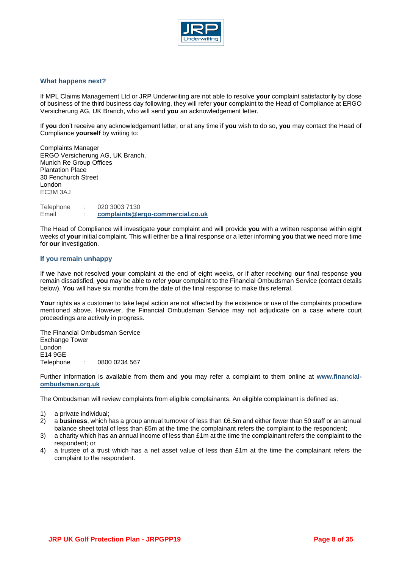

#### **What happens next?**

If MPL Claims Management Ltd or JRP Underwriting are not able to resolve **your** complaint satisfactorily by close of business of the third business day following, they will refer **your** complaint to the Head of Compliance at ERGO Versicherung AG, UK Branch, who will send **you** an acknowledgement letter.

If **you** don't receive any acknowledgement letter, or at any time if **you** wish to do so, **you** may contact the Head of Compliance **yourself** by writing to:

Complaints Manager ERGO Versicherung AG, UK Branch, Munich Re Group Offices Plantation Place 30 Fenchurch Street London EC3M 3AJ

Telephone : 020 3003 7130 Email : **[complaints@ergo-commercial.co.uk](mailto:complaints@ergo-commercial.co.uk)**

The Head of Compliance will investigate **your** complaint and will provide **you** with a written response within eight weeks of **your** initial complaint. This will either be a final response or a letter informing **you** that **we** need more time for **our** investigation.

#### **If you remain unhappy**

If **we** have not resolved **your** complaint at the end of eight weeks, or if after receiving **our** final response **you**  remain dissatisfied, **you** may be able to refer **your** complaint to the Financial Ombudsman Service (contact details below). **You** will have six months from the date of the final response to make this referral.

Your rights as a customer to take legal action are not affected by the existence or use of the complaints procedure mentioned above. However, the Financial Ombudsman Service may not adjudicate on a case where court proceedings are actively in progress.

The Financial Ombudsman Service Exchange Tower London E14 9GE Telephone : 0800 0234 567

Further information is available from them and **you** may refer a complaint to them online at **[www.financial](http://www.financial-ombudsman.org.uk/)[ombudsman.org.uk](http://www.financial-ombudsman.org.uk/)**

The Ombudsman will review complaints from eligible complainants. An eligible complainant is defined as:

- 1) a private individual;
- 2) a **business**, which has a group annual turnover of less than £6.5m and either fewer than 50 staff or an annual balance sheet total of less than £5m at the time the complainant refers the complaint to the respondent;
- 3) a charity which has an annual income of less than £1m at the time the complainant refers the complaint to the respondent; or
- 4) a trustee of a trust which has a net asset value of less than £1m at the time the complainant refers the complaint to the respondent.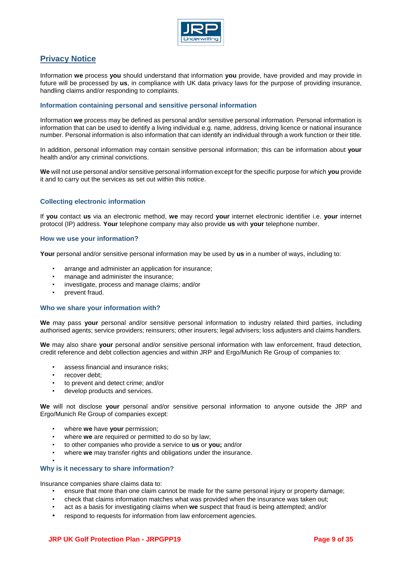

# **Privacy Notice**

Information **we** process **you** should understand that information **you** provide, have provided and may provide in future will be processed by **us**, in compliance with UK data privacy laws for the purpose of providing insurance, handling claims and/or responding to complaints.

# **Information containing personal and sensitive personal information**

Information **we** process may be defined as personal and/or sensitive personal information. Personal information is information that can be used to identify a living individual e.g. name, address, driving licence or national insurance number. Personal information is also information that can identify an individual through a work function or their title.

In addition, personal information may contain sensitive personal information; this can be information about **your**  health and/or any criminal convictions.

**We** will not use personal and/or sensitive personal information except for the specific purpose for which **you** provide it and to carry out the services as set out within this notice.

# **Collecting electronic information**

If **you** contact **us** via an electronic method, **we** may record **your** internet electronic identifier i.e. **your** internet protocol (IP) address. **Your** telephone company may also provide **us** with **your** telephone number.

#### **How we use your information?**

**Your** personal and/or sensitive personal information may be used by **us** in a number of ways, including to:

- arrange and administer an application for insurance;
- manage and administer the insurance;
- investigate, process and manage claims; and/or
- prevent fraud.

#### **Who we share your information with?**

**We** may pass **your** personal and/or sensitive personal information to industry related third parties, including authorised agents; service providers; reinsurers; other insurers; legal advisers; loss adjusters and claims handlers.

We may also share **your** personal and/or sensitive personal information with law enforcement, fraud detection, credit reference and debt collection agencies and within JRP and Ergo/Munich Re Group of companies to:

- assess financial and insurance risks:
- recover debt:
- to prevent and detect crime; and/or
- develop products and services.

**We** will not disclose **your** personal and/or sensitive personal information to anyone outside the JRP and Ergo/Munich Re Group of companies except:

- where **we** have **your** permission;
- where **we** are required or permitted to do so by law;
- to other companies who provide a service to **us** or **you;** and/or
- where **we** may transfer rights and obligations under the insurance.

#### • **Why is it necessary to share information?**

Insurance companies share claims data to:

- ensure that more than one claim cannot be made for the same personal injury or property damage;
- check that claims information matches what was provided when the insurance was taken out;
- act as a basis for investigating claims when **we** suspect that fraud is being attempted; and/or
- respond to requests for information from law enforcement agencies.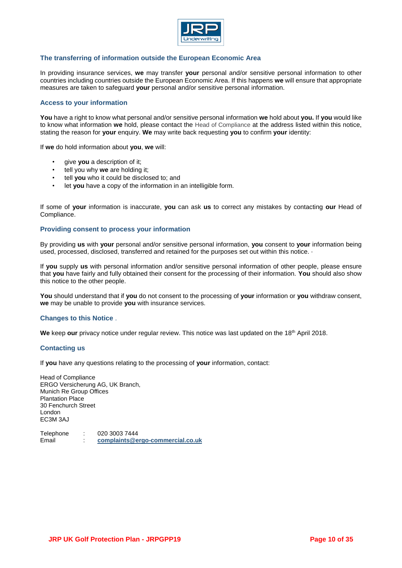

# **The transferring of information outside the European Economic Area**

In providing insurance services, **we** may transfer **your** personal and/or sensitive personal information to other countries including countries outside the European Economic Area. If this happens **we** will ensure that appropriate measures are taken to safeguard **your** personal and/or sensitive personal information.

### **Access to your information**

**You** have a right to know what personal and/or sensitive personal information **we** hold about **you.** If **you** would like to know what information **we** hold, please contact the Head of Compliance at the address listed within this notice, stating the reason for **your** enquiry. **We** may write back requesting **you** to confirm **your** identity:

If **we** do hold information about **you**, **we** will:

- give **you** a description of it;
- tell you why **we** are holding it;
- tell **you** who it could be disclosed to; and
- let **you** have a copy of the information in an intelligible form.

If some of **your** information is inaccurate, **you** can ask **us** to correct any mistakes by contacting **our** Head of Compliance.

#### **Providing consent to process your information**

By providing **us** with **your** personal and/or sensitive personal information, **you** consent to **your** information being used, processed, disclosed, transferred and retained for the purposes set out within this notice.  $\cdot$ 

If **you** supply **us** with personal information and/or sensitive personal information of other people, please ensure that **you** have fairly and fully obtained their consent for the processing of their information. **You** should also show this notice to the other people.

**You** should understand that if **you** do not consent to the processing of **your** information or **you** withdraw consent, **we** may be unable to provide **you** with insurance services.

#### **Changes to this Notice** .

We keep our privacy notice under regular review. This notice was last updated on the 18<sup>th</sup> April 2018.

# **Contacting us**

If **you** have any questions relating to the processing of **your** information, contact:

Head of Compliance ERGO Versicherung AG, UK Branch, Munich Re Group Offices Plantation Place 30 Fenchurch Street London EC3M 3AJ

Telephone : 020 3003 7444 Email : **[complaints@ergo-commercial.co.uk](mailto:complaints@ergo-commercial.co.uk)**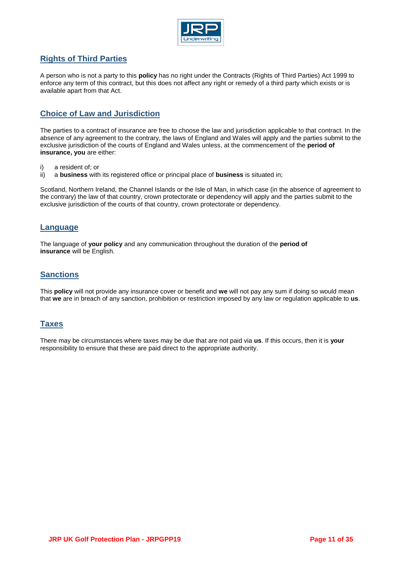

# **Rights of Third Parties**

A person who is not a party to this **policy** has no right under the Contracts (Rights of Third Parties) Act 1999 to enforce any term of this contract, but this does not affect any right or remedy of a third party which exists or is available apart from that Act.

# **Choice of Law and Jurisdiction**

The parties to a contract of insurance are free to choose the law and jurisdiction applicable to that contract. In the absence of any agreement to the contrary, the laws of England and Wales will apply and the parties submit to the exclusive jurisdiction of the courts of England and Wales unless, at the commencement of the **period of insurance, you** are either:

- i) a resident of; or
- ii) a **business** with its registered office or principal place of **business** is situated in;

Scotland, Northern Ireland, the Channel Islands or the Isle of Man, in which case (in the absence of agreement to the contrary) the law of that country, crown protectorate or dependency will apply and the parties submit to the exclusive jurisdiction of the courts of that country, crown protectorate or dependency.

# **Language**

The language of **your policy** and any communication throughout the duration of the **period of insurance** will be English.

# **Sanctions**

This **policy** will not provide any insurance cover or benefit and **we** will not pay any sum if doing so would mean that **we** are in breach of any sanction, prohibition or restriction imposed by any law or regulation applicable to **us**.

# **Taxes**

There may be circumstances where taxes may be due that are not paid via **us**. If this occurs, then it is **your**  responsibility to ensure that these are paid direct to the appropriate authority.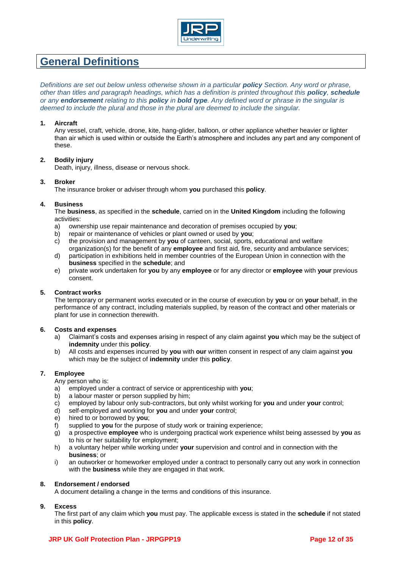

# **General Definitions**

*Definitions are set out below unless otherwise shown in a particular policy Section. Any word or phrase, other than titles and paragraph headings, which has a definition is printed throughout this policy, <i>schedule or any endorsement relating to this policy in bold type. Any defined word or phrase in the singular is deemed to include the plural and those in the plural are deemed to include the singular.*

# **1. Aircraft**

Any vessel, craft, vehicle, drone, kite, hang-glider, balloon, or other appliance whether heavier or lighter than air which is used within or outside the Earth's atmosphere and includes any part and any component of these.

# **2. Bodily injury**

Death, injury, illness, disease or nervous shock.

# **3. Broker**

The insurance broker or adviser through whom **you** purchased this **policy**.

#### **4. Business**

The **business**, as specified in the **schedule**, carried on in the **United Kingdom** including the following activities:

- a) ownership use repair maintenance and decoration of premises occupied by **you**;
- b) repair or maintenance of vehicles or plant owned or used by **you**;
- c) the provision and management by **you** of canteen, social, sports, educational and welfare
- organization(s) for the benefit of any **employee** and first aid, fire, security and ambulance services; d) participation in exhibitions held in member countries of the European Union in connection with the **business** specified in the **schedule**; and
- e) private work undertaken for **you** by any **employee** or for any director or **employee** with **your** previous consent.

# **5. Contract works**

The temporary or permanent works executed or in the course of execution by **you** or on **your** behalf, in the performance of any contract, including materials supplied, by reason of the contract and other materials or plant for use in connection therewith.

#### **6. Costs and expenses**

- a) Claimant's costs and expenses arising in respect of any claim against **you** which may be the subject of **indemnity** under this **policy**.
- b) All costs and expenses incurred by **you** with **our** written consent in respect of any claim against **you**  which may be the subject of **indemnity** under this **policy**.

#### **7. Employee**

Any person who is:

- a) employed under a contract of service or apprenticeship with **you**;
- b) a labour master or person supplied by him;
- c) employed by labour only sub-contractors, but only whilst working for **you** and under **your** control;
- d) self-employed and working for **you** and under **your** control;
- e) hired to or borrowed by **you**;
- f) supplied to **you** for the purpose of study work or training experience;
- g) a prospective **employee** who is undergoing practical work experience whilst being assessed by **you** as to his or her suitability for employment;
- h) a voluntary helper while working under **your** supervision and control and in connection with the **business**; or
- i) an outworker or homeworker employed under a contract to personally carry out any work in connection with the **business** while they are engaged in that work.

#### **8. Endorsement / endorsed**

A document detailing a change in the terms and conditions of this insurance.

# **9. Excess**

The first part of any claim which **you** must pay. The applicable excess is stated in the **schedule** if not stated in this **policy**.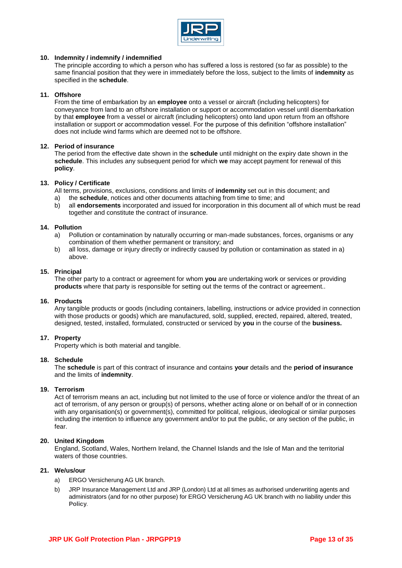

# **10. Indemnity / indemnify / indemnified**

The principle according to which a person who has suffered a loss is restored (so far as possible) to the same financial position that they were in immediately before the loss, subject to the limits of **indemnity** as specified in the **schedule**.

# **11. Offshore**

From the time of embarkation by an **employee** onto a vessel or aircraft (including helicopters) for conveyance from land to an offshore installation or support or accommodation vessel until disembarkation by that **employee** from a vessel or aircraft (including helicopters) onto land upon return from an offshore installation or support or accommodation vessel. For the purpose of this definition "offshore installation" does not include wind farms which are deemed not to be offshore.

# **12. Period of insurance**

The period from the effective date shown in the **schedule** until midnight on the expiry date shown in the **schedule**. This includes any subsequent period for which **we** may accept payment for renewal of this **policy**.

# **13. Policy / Certificate**

All terms, provisions, exclusions, conditions and limits of **indemnity** set out in this document; and a) the **schedule**, notices and other documents attaching from time to time; and

b) all **endorsements** incorporated and issued for incorporation in this document all of which must be read together and constitute the contract of insurance.

# **14. Pollution**

- a) Pollution or contamination by naturally occurring or man-made substances, forces, organisms or any combination of them whether permanent or transitory; and
- b) all loss, damage or injury directly or indirectly caused by pollution or contamination as stated in a) above.

# **15. Principal**

The other party to a contract or agreement for whom **you** are undertaking work or services or providing **products** where that party is responsible for setting out the terms of the contract or agreement..

# **16. Products**

Any tangible products or goods (including containers, labelling, instructions or advice provided in connection with those products or goods) which are manufactured, sold, supplied, erected, repaired, altered, treated, designed, tested, installed, formulated, constructed or serviced by **you** in the course of the **business.**

# **17. Property**

Property which is both material and tangible.

# **18. Schedule**

The **schedule** is part of this contract of insurance and contains **your** details and the **period of insurance** and the limits of **indemnity**.

# **19. Terrorism**

Act of terrorism means an act, including but not limited to the use of force or violence and/or the threat of an act of terrorism, of any person or group(s) of persons, whether acting alone or on behalf of or in connection with any organisation(s) or government(s), committed for political, religious, ideological or similar purposes including the intention to influence any government and/or to put the public, or any section of the public, in fear.

# **20. United Kingdom**

England, Scotland, Wales, Northern Ireland, the Channel Islands and the Isle of Man and the territorial waters of those countries.

# **21. We/us/our**

- a) ERGO Versicherung AG UK branch.
- b) JRP Insurance Management Ltd and JRP (London) Ltd at all times as authorised underwriting agents and administrators (and for no other purpose) for ERGO Versicherung AG UK branch with no liability under this **Policy**.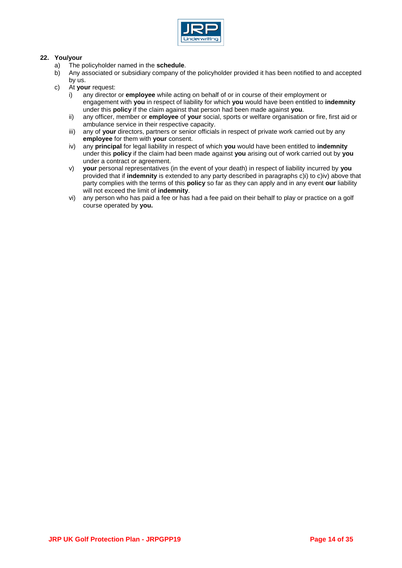

# **22. You/your**

- a) The policyholder named in the **schedule**.
- b) Any associated or subsidiary company of the policyholder provided it has been notified to and accepted by us.
- c) At **your** request:
	- i) any director or **employee** while acting on behalf of or in course of their employment or engagement with **you** in respect of liability for which **you** would have been entitled to **indemnity** under this **policy** if the claim against that person had been made against **you**.
	- ii) any officer, member or **employee** of **your** social, sports or welfare organisation or fire, first aid or ambulance service in their respective capacity.
	- iii) any of **your** directors, partners or senior officials in respect of private work carried out by any **employee** for them with **your** consent.
	- iv) any **principal** for legal liability in respect of which **you** would have been entitled to **indemnity** under this **policy** if the claim had been made against **you** arising out of work carried out by **you** under a contract or agreement.
	- v) **your** personal representatives (in the event of your death) in respect of liability incurred by **you**  provided that if **indemnity** is extended to any party described in paragraphs c)i) to c)iv) above that party complies with the terms of this **policy** so far as they can apply and in any event **our** liability will not exceed the limit of **indemnity**.
	- vi) any person who has paid a fee or has had a fee paid on their behalf to play or practice on a golf course operated by **you.**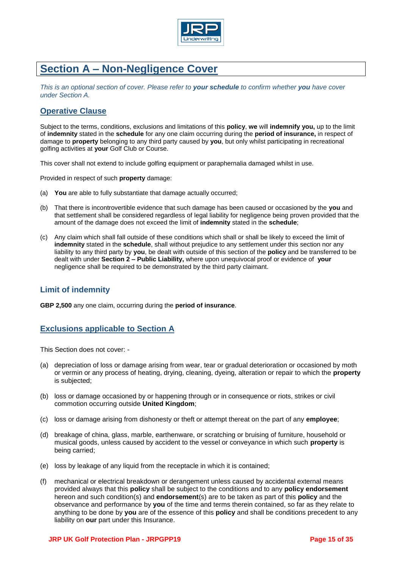

# **Section A – Non-Negligence Cover**

*This is an optional section of cover. Please refer to your schedule to confirm whether you have cover under Section A.* 

# **Operative Clause**

Subject to the terms, conditions, exclusions and limitations of this **policy**, **we** will **indemnify you,** up to the limit of **indemnity** stated in the **schedule** for any one claim occurring during the **period of insurance,** in respect of damage to **property** belonging to any third party caused by **you**, but only whilst participating in recreational golfing activities at **your** Golf Club or Course.

This cover shall not extend to include golfing equipment or paraphernalia damaged whilst in use.

Provided in respect of such **property** damage:

- (a) **You** are able to fully substantiate that damage actually occurred;
- (b) That there is incontrovertible evidence that such damage has been caused or occasioned by the **you** and that settlement shall be considered regardless of legal liability for negligence being proven provided that the amount of the damage does not exceed the limit of **indemnity** stated in the **schedule**;
- (c) Any claim which shall fall outside of these conditions which shall or shall be likely to exceed the limit of **indemnity** stated in the **schedule**, shall without prejudice to any settlement under this section nor any liability to any third party by **you**, be dealt with outside of this section of the **policy** and be transferred to be dealt with under **Section 2 – Public Liability,** where upon unequivocal proof or evidence of **your**  negligence shall be required to be demonstrated by the third party claimant.

# **Limit of indemnity**

**GBP 2,500** any one claim, occurring during the **period of insurance**.

# **Exclusions applicable to Section A**

This Section does not cover: -

- (a) depreciation of loss or damage arising from wear, tear or gradual deterioration or occasioned by moth or vermin or any process of heating, drying, cleaning, dyeing, alteration or repair to which the **property** is subjected;
- (b) loss or damage occasioned by or happening through or in consequence or riots, strikes or civil commotion occurring outside **United Kingdom**;
- (c) loss or damage arising from dishonesty or theft or attempt thereat on the part of any **employee**;
- (d) breakage of china, glass, marble, earthenware, or scratching or bruising of furniture, household or musical goods, unless caused by accident to the vessel or conveyance in which such **property** is being carried;
- (e) loss by leakage of any liquid from the receptacle in which it is contained;
- (f) mechanical or electrical breakdown or derangement unless caused by accidental external means provided always that this **policy** shall be subject to the conditions and to any **policy endorsement** hereon and such condition(s) and **endorsement**(s) are to be taken as part of this **policy** and the observance and performance by **you** of the time and terms therein contained, so far as they relate to anything to be done by **you** are of the essence of this **policy** and shall be conditions precedent to any liability on **our** part under this Insurance.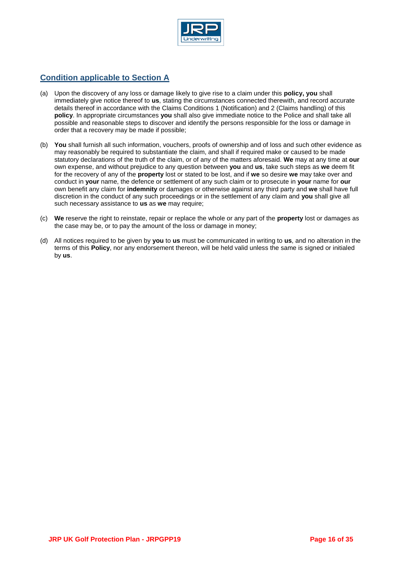

# **Condition applicable to Section A**

- (a) Upon the discovery of any loss or damage likely to give rise to a claim under this **policy, you** shall immediately give notice thereof to **us**, stating the circumstances connected therewith, and record accurate details thereof in accordance with the Claims Conditions 1 (Notification) and 2 (Claims handling) of this **policy**. In appropriate circumstances **you** shall also give immediate notice to the Police and shall take all possible and reasonable steps to discover and identify the persons responsible for the loss or damage in order that a recovery may be made if possible;
- (b) **You** shall furnish all such information, vouchers, proofs of ownership and of loss and such other evidence as may reasonably be required to substantiate the claim, and shall if required make or caused to be made statutory declarations of the truth of the claim, or of any of the matters aforesaid. **We** may at any time at **our**  own expense, and without prejudice to any question between **you** and **us**, take such steps as **we** deem fit for the recovery of any of the **property** lost or stated to be lost, and if **we** so desire **we** may take over and conduct in **your** name, the defence or settlement of any such claim or to prosecute in **your** name for **our** own benefit any claim for **indemnity** or damages or otherwise against any third party and **we** shall have full discretion in the conduct of any such proceedings or in the settlement of any claim and **you** shall give all such necessary assistance to **us** as **we** may require;
- (c) **We** reserve the right to reinstate, repair or replace the whole or any part of the **property** lost or damages as the case may be, or to pay the amount of the loss or damage in money;
- (d) All notices required to be given by **you** to **us** must be communicated in writing to **us**, and no alteration in the terms of this **Policy**, nor any endorsement thereon, will be held valid unless the same is signed or initialed by **us**.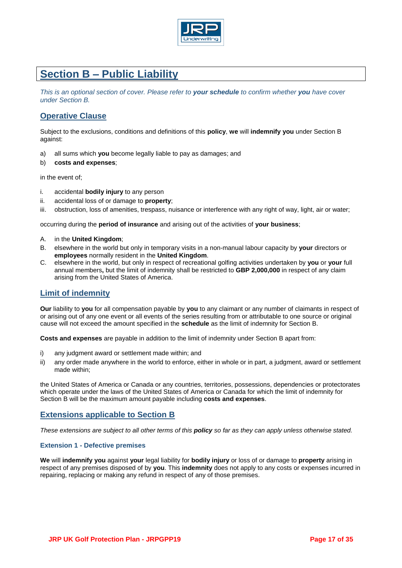

# **Section B – Public Liability**

*This is an optional section of cover. Please refer to your schedule to confirm whether you have cover under Section B.* 

# **Operative Clause**

Subject to the exclusions, conditions and definitions of this **policy**, **we** will **indemnify you** under Section B against:

- a) all sums which **you** become legally liable to pay as damages; and
- b) **costs and expenses**;

in the event of;

- i. accidental **bodily injury** to any person
- ii. accidental loss of or damage to **property**;
- iii. obstruction, loss of amenities, trespass, nuisance or interference with any right of way, light, air or water;

occurring during the **period of insurance** and arising out of the activities of **your business**;

- A. in the **United Kingdom**;
- B. elsewhere in the world but only in temporary visits in a non-manual labour capacity by **your** directors or **employees** normally resident in the **United Kingdom**.
- C. elsewhere in the world, but only in respect of recreational golfing activities undertaken by **you** or **your** full annual members**,** but the limit of indemnity shall be restricted to **GBP 2,000,000** in respect of any claim arising from the United States of America.

# **Limit of indemnity**

**Our** liability to **you** for all compensation payable by **you** to any claimant or any number of claimants in respect of or arising out of any one event or all events of the series resulting from or attributable to one source or original cause will not exceed the amount specified in the **schedule** as the limit of indemnity for Section B.

**Costs and expenses** are payable in addition to the limit of indemnity under Section B apart from:

- i) any judgment award or settlement made within; and
- ii) any order made anywhere in the world to enforce, either in whole or in part, a judgment, award or settlement made within;

the United States of America or Canada or any countries, territories, possessions, dependencies or protectorates which operate under the laws of the United States of America or Canada for which the limit of indemnity for Section B will be the maximum amount payable including **costs and expenses**.

# **Extensions applicable to Section B**

*These extensions are subject to all other terms of this policy so far as they can apply unless otherwise stated.* 

# **Extension 1 - Defective premises**

**We** will **indemnify you** against **your** legal liability for **bodily injury** or loss of or damage to **property** arising in respect of any premises disposed of by **you**. This **indemnity** does not apply to any costs or expenses incurred in repairing, replacing or making any refund in respect of any of those premises.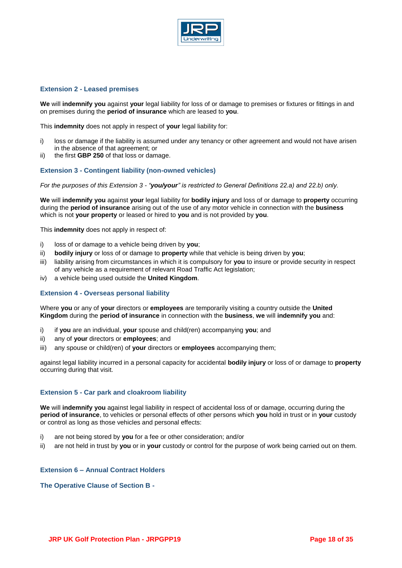

# **Extension 2 - Leased premises**

**We** will **indemnify you** against **your** legal liability for loss of or damage to premises or fixtures or fittings in and on premises during the **period of insurance** which are leased to **you**.

This **indemnity** does not apply in respect of **your** legal liability for:

- i) loss or damage if the liability is assumed under any tenancy or other agreement and would not have arisen in the absence of that agreement; or
- ii) the first **GBP 250** of that loss or damage.

# **Extension 3 - Contingent liability (non-owned vehicles)**

*For the purposes of this Extension 3 - "you/your" is restricted to General Definitions 22.a) and 22.b) only.*

**We** will **indemnify you** against **your** legal liability for **bodily injury** and loss of or damage to **property** occurring during the **period of insurance** arising out of the use of any motor vehicle in connection with the **business**  which is not **your property** or leased or hired to **you** and is not provided by **you**.

This **indemnity** does not apply in respect of:

- i) loss of or damage to a vehicle being driven by **you**;
- ii) **bodily injury** or loss of or damage to **property** while that vehicle is being driven by **you**;
- iii) liability arising from circumstances in which it is compulsory for **you** to insure or provide security in respect of any vehicle as a requirement of relevant Road Traffic Act legislation;
- iv) a vehicle being used outside the **United Kingdom**.

# **Extension 4 - Overseas personal liability**

Where **you** or any of **your** directors or **employees** are temporarily visiting a country outside the **United Kingdom** during the **period of insurance** in connection with the **business**, **we** will **indemnify you** and:

- i) if **you** are an individual, **your** spouse and child(ren) accompanying **you**; and
- ii) any of **your** directors or **employees**; and
- iii) any spouse or child(ren) of **your** directors or **employees** accompanying them;

against legal liability incurred in a personal capacity for accidental **bodily injury** or loss of or damage to **property**  occurring during that visit.

# **Extension 5 - Car park and cloakroom liability**

**We** will **indemnify you** against legal liability in respect of accidental loss of or damage, occurring during the **period of insurance**, to vehicles or personal effects of other persons which **you** hold in trust or in **your** custody or control as long as those vehicles and personal effects:

- i) are not being stored by **you** for a fee or other consideration; and/or
- ii) are not held in trust by **you** or in **your** custody or control for the purpose of work being carried out on them.

# **Extension 6 – Annual Contract Holders**

# **The Operative Clause of Section B -**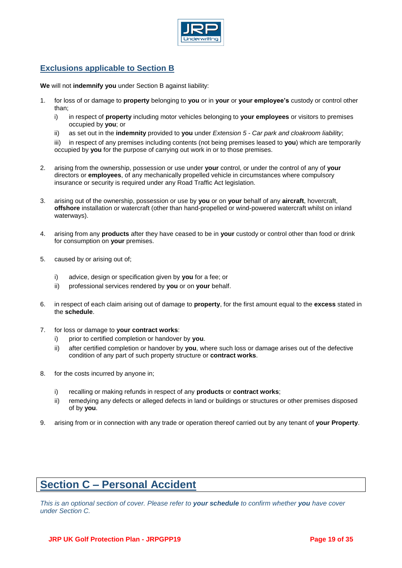

# **Exclusions applicable to Section B**

**We** will not **indemnify you** under Section B against liability:

- 1. for loss of or damage to **property** belonging to **you** or in **your** or **your employee's** custody or control other than;
	- i) in respect of **property** including motor vehicles belonging to **your employees** or visitors to premises occupied by **you**; or
	- ii) as set out in the **indemnity** provided to **you** under *Extension 5 - Car park and cloakroom liability*;

iii) in respect of any premises including contents (not being premises leased to **you**) which are temporarily occupied by **you** for the purpose of carrying out work in or to those premises.

- 2. arising from the ownership, possession or use under **your** control, or under the control of any of **your**  directors or **employees**, of any mechanically propelled vehicle in circumstances where compulsory insurance or security is required under any Road Traffic Act legislation.
- 3. arising out of the ownership, possession or use by **you** or on **your** behalf of any **aircraft**, hovercraft, **offshore** installation or watercraft (other than hand-propelled or wind-powered watercraft whilst on inland waterways).
- 4. arising from any **products** after they have ceased to be in **your** custody or control other than food or drink for consumption on **your** premises.
- 5. caused by or arising out of;
	- i) advice, design or specification given by **you** for a fee; or
	- ii) professional services rendered by **you** or on **your** behalf.
- 6. in respect of each claim arising out of damage to **property**, for the first amount equal to the **excess** stated in the **schedule**.
- 7. for loss or damage to **your contract works**:
	- i) prior to certified completion or handover by **you**.
	- ii) after certified completion or handover by **you**, where such loss or damage arises out of the defective condition of any part of such property structure or **contract works**.
- 8. for the costs incurred by anyone in;
	- i) recalling or making refunds in respect of any **products** or **contract works**;
	- ii) remedying any defects or alleged defects in land or buildings or structures or other premises disposed of by **you**.
- 9. arising from or in connection with any trade or operation thereof carried out by any tenant of **your Property**.

# **Section C – Personal Accident**

*This is an optional section of cover. Please refer to your schedule to confirm whether you have cover under Section C.*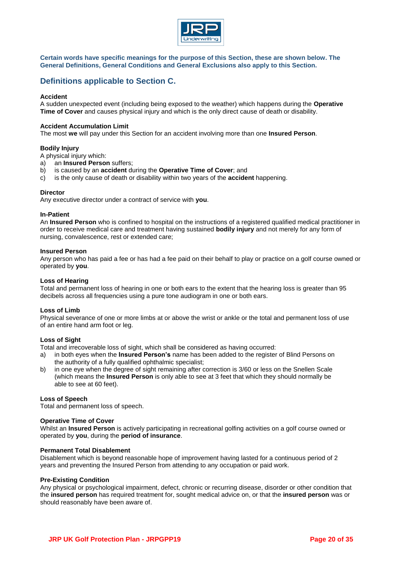

**Certain words have specific meanings for the purpose of this Section, these are shown below. The General Definitions, General Conditions and General Exclusions also apply to this Section.**

# **Definitions applicable to Section C.**

#### **Accident**

A sudden unexpected event (including being exposed to the weather) which happens during the **Operative Time of Cover** and causes physical injury and which is the only direct cause of death or disability.

#### **Accident Accumulation Limit**

The most **we** will pay under this Section for an accident involving more than one **Insured Person**.

#### **Bodily Injury**

A physical injury which:

- a) an **Insured Person** suffers;
- b) is caused by an **accident** during the **Operative Time of Cover**; and
- c) is the only cause of death or disability within two years of the **accident** happening.

#### **Director**

Any executive director under a contract of service with **you**.

#### **In-Patient**

An **Insured Person** who is confined to hospital on the instructions of a registered qualified medical practitioner in order to receive medical care and treatment having sustained **bodily injury** and not merely for any form of nursing, convalescence, rest or extended care;

#### **Insured Person**

Any person who has paid a fee or has had a fee paid on their behalf to play or practice on a golf course owned or operated by **you**.

#### **Loss of Hearing**

Total and permanent loss of hearing in one or both ears to the extent that the hearing loss is greater than 95 decibels across all frequencies using a pure tone audiogram in one or both ears.

#### **Loss of Limb**

Physical severance of one or more limbs at or above the wrist or ankle or the total and permanent loss of use of an entire hand arm foot or leg.

#### **Loss of Sight**

Total and irrecoverable loss of sight, which shall be considered as having occurred:

- a) in both eyes when the **Insured Person's** name has been added to the register of Blind Persons on the authority of a fully qualified ophthalmic specialist;
- b) in one eye when the degree of sight remaining after correction is 3/60 or less on the Snellen Scale (which means the **Insured Person** is only able to see at 3 feet that which they should normally be able to see at 60 feet).

#### **Loss of Speech**

Total and permanent loss of speech.

#### **Operative Time of Cover**

Whilst an **Insured Person** is actively participating in recreational golfing activities on a golf course owned or operated by **you**, during the **period of insurance**.

#### **Permanent Total Disablement**

Disablement which is beyond reasonable hope of improvement having lasted for a continuous period of 2 years and preventing the Insured Person from attending to any occupation or paid work.

#### **Pre-Existing Condition**

Any physical or psychological impairment, defect, chronic or recurring disease, disorder or other condition that the **insured person** has required treatment for, sought medical advice on, or that the **insured person** was or should reasonably have been aware of.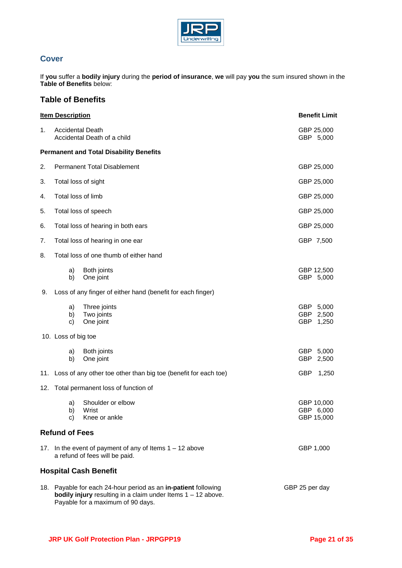

# **Cover**

If **you** suffer a **bodily injury** during the **period of insurance**, **we** will pay **you** the sum insured shown in the **Table of Benefits** below:

# **Table of Benefits**

|                                         | <b>Item Description</b>                                                                                                                                                                        | <b>Benefit Limit</b>                                                |                                        |  |
|-----------------------------------------|------------------------------------------------------------------------------------------------------------------------------------------------------------------------------------------------|---------------------------------------------------------------------|----------------------------------------|--|
| 1.                                      | <b>Accidental Death</b><br>Accidental Death of a child                                                                                                                                         | GBP 25,000<br>GBP 5,000                                             |                                        |  |
|                                         |                                                                                                                                                                                                | <b>Permanent and Total Disability Benefits</b>                      |                                        |  |
| 2.                                      | <b>Permanent Total Disablement</b>                                                                                                                                                             | GBP 25,000                                                          |                                        |  |
| 3.                                      | Total loss of sight                                                                                                                                                                            | GBP 25,000                                                          |                                        |  |
| 4.                                      | Total loss of limb                                                                                                                                                                             | GBP 25,000                                                          |                                        |  |
| 5.                                      | Total loss of speech                                                                                                                                                                           | GBP 25,000                                                          |                                        |  |
| 6.                                      | Total loss of hearing in both ears                                                                                                                                                             |                                                                     | GBP 25,000                             |  |
| 7.                                      |                                                                                                                                                                                                | Total loss of hearing in one ear                                    | GBP 7,500                              |  |
| 8.                                      | Total loss of one thumb of either hand                                                                                                                                                         |                                                                     |                                        |  |
|                                         | a)<br>b)                                                                                                                                                                                       | Both joints<br>One joint                                            | GBP 12,500<br>GBP 5,000                |  |
| 9.                                      |                                                                                                                                                                                                | Loss of any finger of either hand (benefit for each finger)         |                                        |  |
|                                         | a)<br>b)<br>c)                                                                                                                                                                                 | Three joints<br>Two joints<br>One joint                             | GBP 5,000<br>GBP<br>2,500<br>GBP 1,250 |  |
|                                         | 10. Loss of big toe                                                                                                                                                                            |                                                                     |                                        |  |
|                                         | a)<br>b)                                                                                                                                                                                       | Both joints<br>One joint                                            | GBP 5,000<br><b>GBP</b><br>2,500       |  |
|                                         |                                                                                                                                                                                                | 11. Loss of any other toe other than big toe (benefit for each toe) | GBP 1,250                              |  |
| 12. Total permanent loss of function of |                                                                                                                                                                                                |                                                                     |                                        |  |
|                                         | a)<br>b)<br>C)                                                                                                                                                                                 | Shoulder or elbow<br>Wrist<br>Knee or ankle                         | GBP 10,000<br>GBP 6,000<br>GBP 15,000  |  |
|                                         | <b>Refund of Fees</b>                                                                                                                                                                          |                                                                     |                                        |  |
|                                         | 17. In the event of payment of any of Items 1 - 12 above<br>GBP 1,000<br>a refund of fees will be paid.                                                                                        |                                                                     |                                        |  |
|                                         |                                                                                                                                                                                                | <b>Hospital Cash Benefit</b>                                        |                                        |  |
|                                         | 18. Payable for each 24-hour period as an in-patient following<br>GBP 25 per day<br><b>bodily injury</b> resulting in a claim under Items $1 - 12$ above.<br>Payable for a maximum of 90 days. |                                                                     |                                        |  |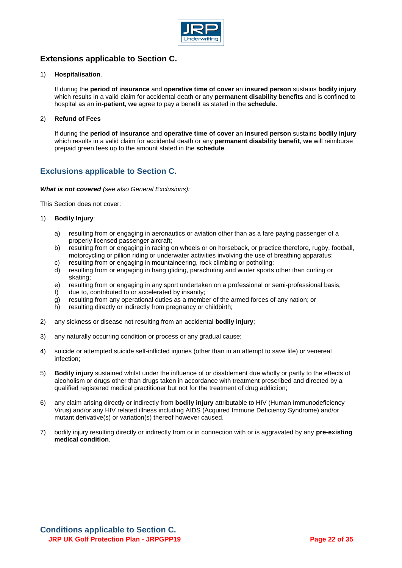

# **Extensions applicable to Section C.**

# 1) **Hospitalisation**.

If during the **period of insurance** and **operative time of cover** an **insured person** sustains **bodily injury** which results in a valid claim for accidental death or any **permanent disability benefits** and is confined to hospital as an **in-patient**, **we** agree to pay a benefit as stated in the **schedule**.

# 2) **Refund of Fees**

If during the **period of insurance** and **operative time of cover** an **insured person** sustains **bodily injury** which results in a valid claim for accidental death or any **permanent disability benefit**, **we** will reimburse prepaid green fees up to the amount stated in the **schedule**.

# **Exclusions applicable to Section C.**

# *What is not covered (see also General Exclusions):*

This Section does not cover:

# 1) **Bodily Injury**:

- a) resulting from or engaging in aeronautics or aviation other than as a fare paying passenger of a properly licensed passenger aircraft;
- b) resulting from or engaging in racing on wheels or on horseback, or practice therefore, rugby, football, motorcycling or pillion riding or underwater activities involving the use of breathing apparatus;
- c) resulting from or engaging in mountaineering, rock climbing or potholing;
- d) resulting from or engaging in hang gliding, parachuting and winter sports other than curling or skating;
- e) resulting from or engaging in any sport undertaken on a professional or semi-professional basis;
- f) due to, contributed to or accelerated by insanity;
- g) resulting from any operational duties as a member of the armed forces of any nation; or
- h) resulting directly or indirectly from pregnancy or childbirth;
- 2) any sickness or disease not resulting from an accidental **bodily injury**;
- 3) any naturally occurring condition or process or any gradual cause;
- 4) suicide or attempted suicide self-inflicted injuries (other than in an attempt to save life) or venereal infection;
- 5) **Bodily injury** sustained whilst under the influence of or disablement due wholly or partly to the effects of alcoholism or drugs other than drugs taken in accordance with treatment prescribed and directed by a qualified registered medical practitioner but not for the treatment of drug addiction;
- 6) any claim arising directly or indirectly from **bodily injury** attributable to HIV (Human Immunodeficiency Virus) and/or any HIV related illness including AIDS (Acquired Immune Deficiency Syndrome) and/or mutant derivative(s) or variation(s) thereof however caused.
- 7) bodily injury resulting directly or indirectly from or in connection with or is aggravated by any **pre-existing medical condition**.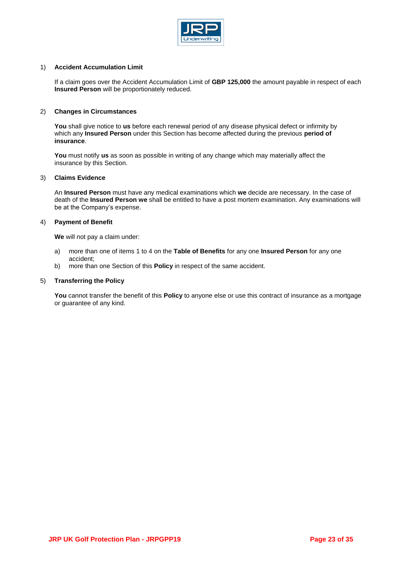

# 1) **Accident Accumulation Limit**

If a claim goes over the Accident Accumulation Limit of **GBP 125,000** the amount payable in respect of each **Insured Person** will be proportionately reduced.

# 2) **Changes in Circumstances**

**You** shall give notice to **us** before each renewal period of any disease physical defect or infirmity by which any **Insured Person** under this Section has become affected during the previous **period of insurance**.

**You** must notify **us** as soon as possible in writing of any change which may materially affect the insurance by this Section.

#### 3) **Claims Evidence**

An **Insured Person** must have any medical examinations which **we** decide are necessary. In the case of death of the **Insured Person we** shall be entitled to have a post mortem examination. Any examinations will be at the Company's expense.

#### 4) **Payment of Benefit**

**We** will not pay a claim under:

- a) more than one of items 1 to 4 on the **Table of Benefits** for any one **Insured Person** for any one accident;
- b) more than one Section of this **Policy** in respect of the same accident.

#### 5) **Transferring the Policy**

You cannot transfer the benefit of this **Policy** to anyone else or use this contract of insurance as a mortgage or guarantee of any kind.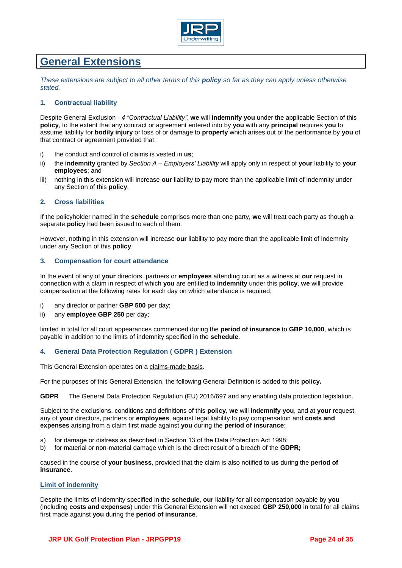

# **General Extensions**

*These extensions are subject to all other terms of this policy so far as they can apply unless otherwise stated.* 

# **1. Contractual liability**

Despite General Exclusion *- 4 "Contractual Liability"*, **we** will **indemnify you** under the applicable Section of this **policy**, to the extent that any contract or agreement entered into by **you** with any **principal** requires **you** to assume liability for **bodily injury** or loss of or damage to **property** which arises out of the performance by **you** of that contract or agreement provided that:

- i) the conduct and control of claims is vested in **us**;
- ii) the **indemnity** granted by *Section A – Employers' Liability* will apply only in respect of **your** liability to **your employees**; and
- iii) nothing in this extension will increase **our** liability to pay more than the applicable limit of indemnity under any Section of this **policy**.

# **2. Cross liabilities**

If the policyholder named in the **schedule** comprises more than one party, **we** will treat each party as though a separate **policy** had been issued to each of them.

However, nothing in this extension will increase **our** liability to pay more than the applicable limit of indemnity under any Section of this **policy**.

# **3. Compensation for court attendance**

In the event of any of **your** directors, partners or **employees** attending court as a witness at **our** request in connection with a claim in respect of which **you** are entitled to **indemnity** under this **policy**, **we** will provide compensation at the following rates for each day on which attendance is required;

- i) any director or partner **GBP 500** per day;
- ii) any **employee GBP 250** per day;

limited in total for all court appearances commenced during the **period of insurance** to **GBP 10,000**, which is payable in addition to the limits of indemnity specified in the **schedule**.

# **4. General Data Protection Regulation ( GDPR ) Extension**

This General Extension operates on a claims-made basis.

For the purposes of this General Extension, the following General Definition is added to this **policy.**

**GDPR** The General Data Protection Regulation (EU) 2016/697 and any enabling data protection legislation.

Subject to the exclusions, conditions and definitions of this **policy**, **we** will **indemnify you**, and at **your** request, any of **your** directors, partners or **employees**, against legal liability to pay compensation and **costs and expenses** arising from a claim first made against **you** during the **period of insurance**:

- a) for damage or distress as described in Section 13 of the Data Protection Act 1998;
- b) for material or non-material damage which is the direct result of a breach of the **GDPR;**

caused in the course of **your business**, provided that the claim is also notified to **us** during the **period of insurance**.

#### **Limit of indemnity**

Despite the limits of indemnity specified in the **schedule**, **our** liability for all compensation payable by **you**  (including **costs and expenses**) under this General Extension will not exceed **GBP 250,000** in total for all claims first made against **you** during the **period of insurance**.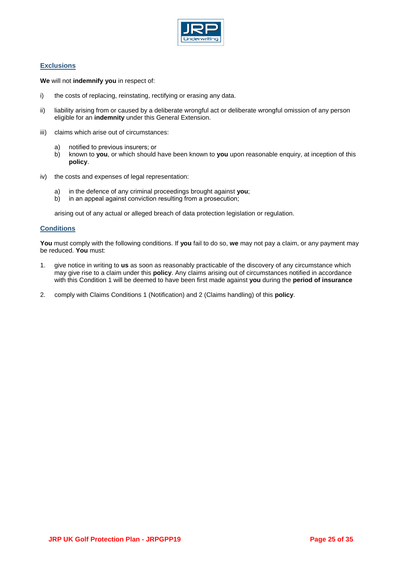

# **Exclusions**

**We** will not **indemnify you** in respect of:

- i) the costs of replacing, reinstating, rectifying or erasing any data.
- ii) liability arising from or caused by a deliberate wrongful act or deliberate wrongful omission of any person eligible for an **indemnity** under this General Extension.
- iii) claims which arise out of circumstances:
	- a) notified to previous insurers; or
	- b) known to **you**, or which should have been known to **you** upon reasonable enquiry, at inception of this **policy**.
- iv) the costs and expenses of legal representation:
	- a) in the defence of any criminal proceedings brought against **you**;
	- b) in an appeal against conviction resulting from a prosecution;

arising out of any actual or alleged breach of data protection legislation or regulation.

# **Conditions**

**You** must comply with the following conditions. If **you** fail to do so, **we** may not pay a claim, or any payment may be reduced. **You** must:

- 1. give notice in writing to **us** as soon as reasonably practicable of the discovery of any circumstance which may give rise to a claim under this **policy**. Any claims arising out of circumstances notified in accordance with this Condition 1 will be deemed to have been first made against **you** during the **period of insurance**
- 2. comply with Claims Conditions 1 (Notification) and 2 (Claims handling) of this **policy**.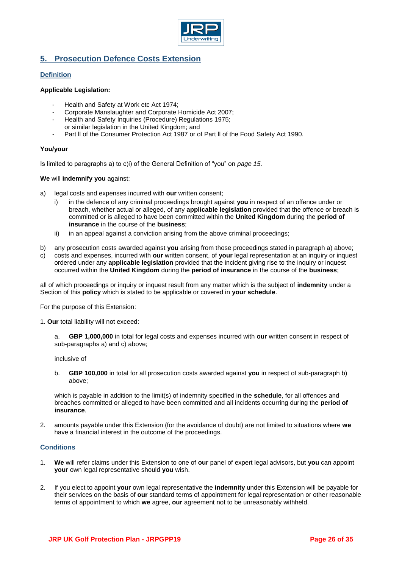

# **5. Prosecution Defence Costs Extension**

# **Definition**

# **Applicable Legislation:**

- Health and Safety at Work etc Act 1974;
- Corporate Manslaughter and Corporate Homicide Act 2007;
- Health and Safety Inquiries (Procedure) Regulations 1975; or similar legislation in the United Kingdom; and
- Part II of the Consumer Protection Act 1987 or of Part II of the Food Safety Act 1990.

# **You/your**

Is limited to paragraphs a) to c)i) of the General Definition of "you" on *page 15*.

# **We** will **indemnify you** against:

- a) legal costs and expenses incurred with **our** written consent;
	- i) in the defence of any criminal proceedings brought against **you** in respect of an offence under or breach, whether actual or alleged, of any **applicable legislation** provided that the offence or breach is committed or is alleged to have been committed within the **United Kingdom** during the **period of insurance** in the course of the **business**;
	- ii) in an appeal against a conviction arising from the above criminal proceedings;
- b) any prosecution costs awarded against **you** arising from those proceedings stated in paragraph a) above;
- c) costs and expenses, incurred with **our** written consent, of **your** legal representation at an inquiry or inquest ordered under any **applicable legislation** provided that the incident giving rise to the inquiry or inquest occurred within the **United Kingdom** during the **period of insurance** in the course of the **business**;

all of which proceedings or inquiry or inquest result from any matter which is the subject of **indemnity** under a Section of this **policy** which is stated to be applicable or covered in **your schedule**.

For the purpose of this Extension:

- 1. **Our** total liability will not exceed:
	- a. **GBP 1,000,000** in total for legal costs and expenses incurred with **our** written consent in respect of sub-paragraphs a) and c) above;

inclusive of

b. **GBP 100,000** in total for all prosecution costs awarded against **you** in respect of sub-paragraph b) above;

which is payable in addition to the limit(s) of indemnity specified in the **schedule**, for all offences and breaches committed or alleged to have been committed and all incidents occurring during the **period of insurance**.

2. amounts payable under this Extension (for the avoidance of doubt) are not limited to situations where **we**  have a financial interest in the outcome of the proceedings.

# **Conditions**

- 1. **We** will refer claims under this Extension to one of **our** panel of expert legal advisors, but **you** can appoint **your** own legal representative should **you** wish.
- 2. If you elect to appoint **your** own legal representative the **indemnity** under this Extension will be payable for their services on the basis of **our** standard terms of appointment for legal representation or other reasonable terms of appointment to which **we** agree, **our** agreement not to be unreasonably withheld.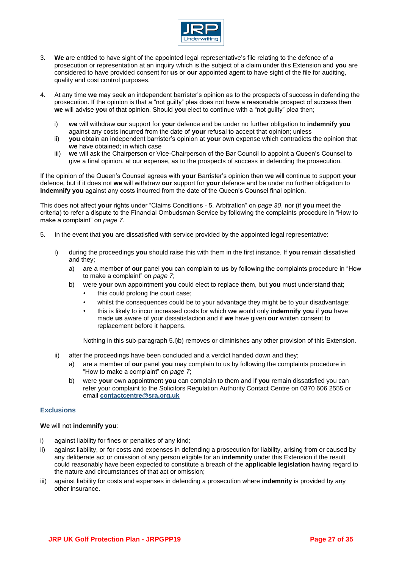

- 3. **We** are entitled to have sight of the appointed legal representative's file relating to the defence of a prosecution or representation at an inquiry which is the subject of a claim under this Extension and **you** are considered to have provided consent for **us** or **our** appointed agent to have sight of the file for auditing, quality and cost control purposes.
- 4. At any time **we** may seek an independent barrister's opinion as to the prospects of success in defending the prosecution. If the opinion is that a "not guilty" plea does not have a reasonable prospect of success then **we** will advise **you** of that opinion. Should **you** elect to continue with a "not guilty" plea then;
	- i) **we** will withdraw **our** support for **your** defence and be under no further obligation to **indemnify you**  against any costs incurred from the date of **your** refusal to accept that opinion; unless
	- ii) **you** obtain an independent barrister's opinion at **your** own expense which contradicts the opinion that **we** have obtained; in which case
	- iii) **we** will ask the Chairperson or Vice-Chairperson of the Bar Council to appoint a Queen's Counsel to give a final opinion, at our expense, as to the prospects of success in defending the prosecution.

If the opinion of the Queen's Counsel agrees with **your** Barrister's opinion then **we** will continue to support **your**  defence, but if it does not **we** will withdraw **our** support for **your** defence and be under no further obligation to **indemnify you** against any costs incurred from the date of the Queen's Counsel final opinion.

This does not affect **your** rights under "Claims Conditions - 5. Arbitration" on *page 30*, nor (if **you** meet the criteria) to refer a dispute to the Financial Ombudsman Service by following the complaints procedure in "How to make a complaint" on *page 7*.

- 5. In the event that **you** are dissatisfied with service provided by the appointed legal representative:
	- i) during the proceedings **you** should raise this with them in the first instance. If **you** remain dissatisfied and they;
		- a) are a member of **our** panel **you** can complain to **us** by following the complaints procedure in "How to make a complaint" on *page 7*;
		- b) were **your** own appointment **you** could elect to replace them, but **you** must understand that;
			- this could prolong the court case:
			- whilst the consequences could be to your advantage they might be to your disadvantage;
			- this is likely to incur increased costs for which **we** would only **indemnify you** if **you** have made **us** aware of your dissatisfaction and if **we** have given **our** written consent to replacement before it happens.

Nothing in this sub-paragraph 5.i)b) removes or diminishes any other provision of this Extension.

- ii) after the proceedings have been concluded and a verdict handed down and they;
	- a) are a member of **our** panel **you** may complain to us by following the complaints procedure in "How to make a complaint" on *page 7*;
	- b) were **your** own appointment **you** can complain to them and if **you** remain dissatisfied you can refer your complaint to the Solicitors Regulation Authority Contact Centre on 0370 606 2555 or email **[contactcentre@sra.org.uk](mailto:contactcentre@sra.org.uk)**

# **Exclusions**

#### **We** will not **indemnify you**:

- i) against liability for fines or penalties of any kind;
- ii) against liability, or for costs and expenses in defending a prosecution for liability, arising from or caused by any deliberate act or omission of any person eligible for an **indemnity** under this Extension if the result could reasonably have been expected to constitute a breach of the **applicable legislation** having regard to the nature and circumstances of that act or omission;
- iii) against liability for costs and expenses in defending a prosecution where **indemnity** is provided by any other insurance.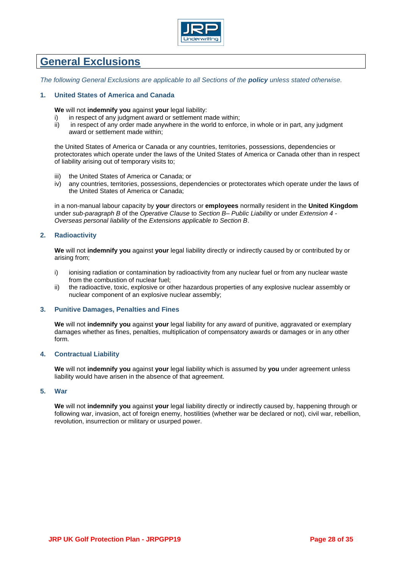

# **General Exclusions**

*The following General Exclusions are applicable to all Sections of the policy unless stated otherwise.* 

# **1. United States of America and Canada**

**We** will not **indemnify you** against **your** legal liability:

- i) in respect of any judgment award or settlement made within;
- ii) in respect of any order made anywhere in the world to enforce, in whole or in part, any judgment award or settlement made within;

the United States of America or Canada or any countries, territories, possessions, dependencies or protectorates which operate under the laws of the United States of America or Canada other than in respect of liability arising out of temporary visits to;

- iii) the United States of America or Canada; or
- iv) any countries, territories, possessions, dependencies or protectorates which operate under the laws of the United States of America or Canada;

in a non-manual labour capacity by **your** directors or **employees** normally resident in the **United Kingdom**  under *sub-paragraph B* of the *Operative Clause* to *Section B– Public Liability* or under *Extension 4 - Overseas personal liability* of the *Extensions applicable to Section B*.

# **2. Radioactivity**

**We** will not **indemnify you** against **your** legal liability directly or indirectly caused by or contributed by or arising from;

- i) ionising radiation or contamination by radioactivity from any nuclear fuel or from any nuclear waste from the combustion of nuclear fuel;
- ii) the radioactive, toxic, explosive or other hazardous properties of any explosive nuclear assembly or nuclear component of an explosive nuclear assembly;

# **3. Punitive Damages, Penalties and Fines**

**We** will not **indemnify you** against **your** legal liability for any award of punitive, aggravated or exemplary damages whether as fines, penalties, multiplication of compensatory awards or damages or in any other form.

# **4. Contractual Liability**

**We** will not **indemnify you** against **your** legal liability which is assumed by **you** under agreement unless liability would have arisen in the absence of that agreement.

#### **5. War**

**We** will not **indemnify you** against **your** legal liability directly or indirectly caused by, happening through or following war, invasion, act of foreign enemy, hostilities (whether war be declared or not), civil war, rebellion, revolution, insurrection or military or usurped power.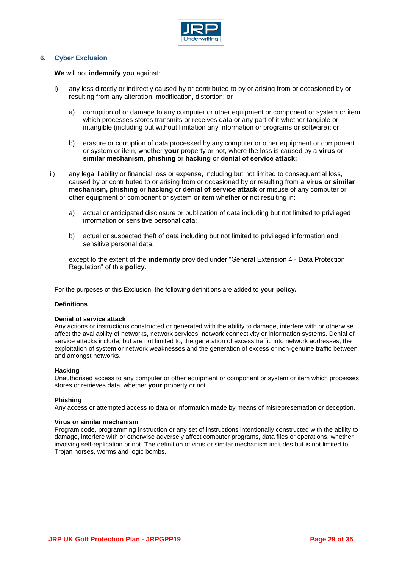

# **6. Cyber Exclusion**

**We** will not **indemnify you** against:

- i) any loss directly or indirectly caused by or contributed to by or arising from or occasioned by or resulting from any alteration, modification, distortion: or
	- a) corruption of or damage to any computer or other equipment or component or system or item which processes stores transmits or receives data or any part of it whether tangible or intangible (including but without limitation any information or programs or software); or
	- b) erasure or corruption of data processed by any computer or other equipment or component or system or item; whether **your** property or not, where the loss is caused by a **virus** or **similar mechanism**, **phishing** or **hacking** or **denial of service attack;**
- ii) any legal liability or financial loss or expense, including but not limited to consequential loss, caused by or contributed to or arising from or occasioned by or resulting from a **virus or similar mechanism, phishing** or **hacking** or **denial of service attack** or misuse of any computer or other equipment or component or system or item whether or not resulting in:
	- a) actual or anticipated disclosure or publication of data including but not limited to privileged information or sensitive personal data;
	- b) actual or suspected theft of data including but not limited to privileged information and sensitive personal data;

except to the extent of the **indemnity** provided under "General Extension 4 - Data Protection Regulation" of this **policy**.

For the purposes of this Exclusion, the following definitions are added to **your policy.**

# **Definitions**

#### **Denial of service attack**

Any actions or instructions constructed or generated with the ability to damage, interfere with or otherwise affect the availability of networks, network services, network connectivity or information systems. Denial of service attacks include, but are not limited to, the generation of excess traffic into network addresses, the exploitation of system or network weaknesses and the generation of excess or non-genuine traffic between and amongst networks.

#### **Hacking**

Unauthorised access to any computer or other equipment or component or system or item which processes stores or retrieves data, whether **your** property or not.

# **Phishing**

Any access or attempted access to data or information made by means of misrepresentation or deception.

#### **Virus or similar mechanism**

Program code, programming instruction or any set of instructions intentionally constructed with the ability to damage, interfere with or otherwise adversely affect computer programs, data files or operations, whether involving self-replication or not. The definition of virus or similar mechanism includes but is not limited to Trojan horses, worms and logic bombs.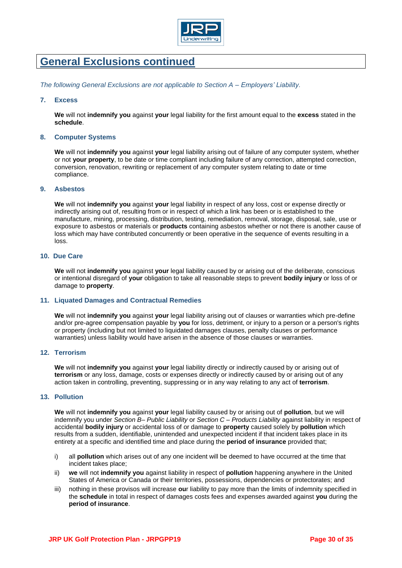

# **General Exclusions continued**

*The following General Exclusions are not applicable to Section A – Employers' Liability.* 

# **7. Excess**

**We** will not **indemnify you** against **your** legal liability for the first amount equal to the **excess** stated in the **schedule**.

#### **8. Computer Systems**

**We** will not **indemnify you** against **your** legal liability arising out of failure of any computer system, whether or not **your property**, to be date or time compliant including failure of any correction, attempted correction, conversion, renovation, rewriting or replacement of any computer system relating to date or time compliance.

#### **9. Asbestos**

**We** will not **indemnify you** against **your** legal liability in respect of any loss, cost or expense directly or indirectly arising out of, resulting from or in respect of which a link has been or is established to the manufacture, mining, processing, distribution, testing, remediation, removal, storage, disposal, sale, use or exposure to asbestos or materials or **products** containing asbestos whether or not there is another cause of loss which may have contributed concurrently or been operative in the sequence of events resulting in a loss.

# **10. Due Care**

**We** will not **indemnify you** against **your** legal liability caused by or arising out of the deliberate, conscious or intentional disregard of **your** obligation to take all reasonable steps to prevent **bodily injury** or loss of or damage to **property**.

# **11. Liquated Damages and Contractual Remedies**

**We** will not **indemnify you** against **your** legal liability arising out of clauses or warranties which pre-define and/or pre-agree compensation payable by **you** for loss, detriment, or injury to a person or a person's rights or property (including but not limited to liquidated damages clauses, penalty clauses or performance warranties) unless liability would have arisen in the absence of those clauses or warranties.

### **12. Terrorism**

**We** will not **indemnify you** against **your** legal liability directly or indirectly caused by or arising out of **terrorism** or any loss, damage, costs or expenses directly or indirectly caused by or arising out of any action taken in controlling, preventing, suppressing or in any way relating to any act of **terrorism**.

# **13. Pollution**

**We** will not **indemnify you** against **your** legal liability caused by or arising out of **pollution**, but we will indemnify you under *Section B– Public Liability* or *Section C – Products Liability* against liability in respect of accidental **bodily injury** or accidental loss of or damage to **property** caused solely by **pollution** which results from a sudden, identifiable, unintended and unexpected incident if that incident takes place in its entirety at a specific and identified time and place during the **period of insurance** provided that;

- i) all **pollution** which arises out of any one incident will be deemed to have occurred at the time that incident takes place;
- ii) **we** will not **indemnify you** against liability in respect of **pollution** happening anywhere in the United States of America or Canada or their territories, possessions, dependencies or protectorates; and
- iii) nothing in these provisos will increase **ou**r liability to pay more than the limits of indemnity specified in the **schedule** in total in respect of damages costs fees and expenses awarded against **you** during the **period of insurance**.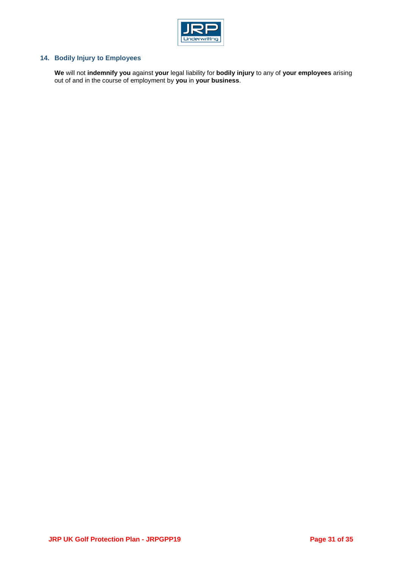

# **14. Bodily Injury to Employees**

**We** will not **indemnify you** against **your** legal liability for **bodily injury** to any of **your employees** arising out of and in the course of employment by **you** in **your business**.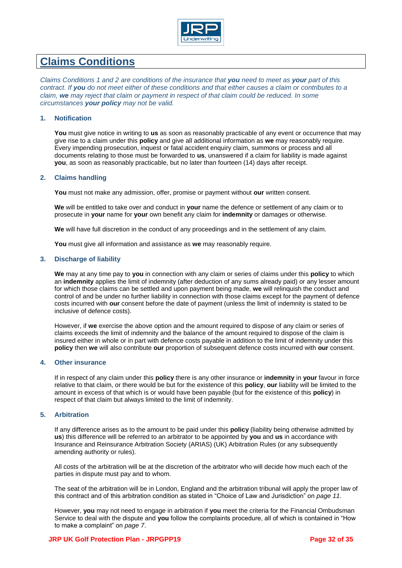

# **Claims Conditions**

*Claims Conditions 1 and 2 are conditions of the insurance that you need to meet as your part of this contract. If you do not meet either of these conditions and that either causes a claim or contributes to a claim, we may reject that claim or payment in respect of that claim could be reduced. In some circumstances your policy may not be valid.* 

# **1. Notification**

**You** must give notice in writing to **us** as soon as reasonably practicable of any event or occurrence that may give rise to a claim under this **policy** and give all additional information as **we** may reasonably require. Every impending prosecution, inquest or fatal accident enquiry claim, summons or process and all documents relating to those must be forwarded to **us**, unanswered if a claim for liability is made against **you**, as soon as reasonably practicable, but no later than fourteen (14) days after receipt.

# **2. Claims handling**

**You** must not make any admission, offer, promise or payment without **our** written consent.

**We** will be entitled to take over and conduct in **your** name the defence or settlement of any claim or to prosecute in **your** name for **your** own benefit any claim for **indemnity** or damages or otherwise.

**We** will have full discretion in the conduct of any proceedings and in the settlement of any claim.

**You** must give all information and assistance as **we** may reasonably require.

# **3. Discharge of liability**

**We** may at any time pay to **you** in connection with any claim or series of claims under this **policy** to which an **indemnity** applies the limit of indemnity (after deduction of any sums already paid) or any lesser amount for which those claims can be settled and upon payment being made, **we** will relinquish the conduct and control of and be under no further liability in connection with those claims except for the payment of defence costs incurred with **our** consent before the date of payment (unless the limit of indemnity is stated to be inclusive of defence costs).

However, if **we** exercise the above option and the amount required to dispose of any claim or series of claims exceeds the limit of indemnity and the balance of the amount required to dispose of the claim is insured either in whole or in part with defence costs payable in addition to the limit of indemnity under this **policy** then **we** will also contribute **our** proportion of subsequent defence costs incurred with **our** consent.

# **4. Other insurance**

If in respect of any claim under this **policy** there is any other insurance or **indemnity** in **your** favour in force relative to that claim, or there would be but for the existence of this **policy**, **our** liability will be limited to the amount in excess of that which is or would have been payable (but for the existence of this **policy**) in respect of that claim but always limited to the limit of indemnity.

# **5. Arbitration**

If any difference arises as to the amount to be paid under this **policy** (liability being otherwise admitted by **us**) this difference will be referred to an arbitrator to be appointed by **you** and **us** in accordance with Insurance and Reinsurance Arbitration Society (ARIAS) (UK) Arbitration Rules (or any subsequently amending authority or rules).

All costs of the arbitration will be at the discretion of the arbitrator who will decide how much each of the parties in dispute must pay and to whom.

The seat of the arbitration will be in London, England and the arbitration tribunal will apply the proper law of this contract and of this arbitration condition as stated in "Choice of Law and Jurisdiction" on *page 11*.

However, **you** may not need to engage in arbitration if **you** meet the criteria for the Financial Ombudsman Service to deal with the dispute and **you** follow the complaints procedure, all of which is contained in "How to make a complaint" on *page 7*.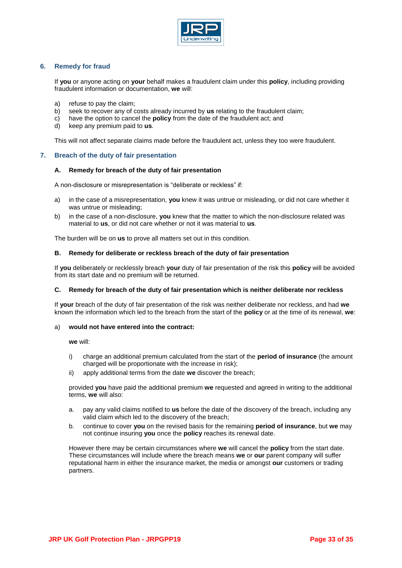

# **6. Remedy for fraud**

If **you** or anyone acting on **your** behalf makes a fraudulent claim under this **policy**, including providing fraudulent information or documentation, **we** will:

- a) refuse to pay the claim;
- b) seek to recover any of costs already incurred by **us** relating to the fraudulent claim;
- c) have the option to cancel the **policy** from the date of the fraudulent act; and
- d) keep any premium paid to **us**.

This will not affect separate claims made before the fraudulent act, unless they too were fraudulent.

# **7. Breach of the duty of fair presentation**

#### **A. Remedy for breach of the duty of fair presentation**

A non-disclosure or misrepresentation is "deliberate or reckless" if:

- a) in the case of a misrepresentation, **you** knew it was untrue or misleading, or did not care whether it was untrue or misleading;
- b) in the case of a non-disclosure, **you** knew that the matter to which the non-disclosure related was material to **us**, or did not care whether or not it was material to **us**.

The burden will be on **us** to prove all matters set out in this condition.

#### **B. Remedy for deliberate or reckless breach of the duty of fair presentation**

If **you** deliberately or recklessly breach **your** duty of fair presentation of the risk this **policy** will be avoided from its start date and no premium will be returned.

#### **C. Remedy for breach of the duty of fair presentation which is neither deliberate nor reckless**

If **your** breach of the duty of fair presentation of the risk was neither deliberate nor reckless, and had **we**  known the information which led to the breach from the start of the **policy** or at the time of its renewal, **we**:

#### a) **would not have entered into the contract:**

**we** will:

- i) charge an additional premium calculated from the start of the **period of insurance** (the amount charged will be proportionate with the increase in risk);
- ii) apply additional terms from the date **we** discover the breach;

provided **you** have paid the additional premium **we** requested and agreed in writing to the additional terms, **we** will also:

- a. pay any valid claims notified to **us** before the date of the discovery of the breach, including any valid claim which led to the discovery of the breach;
- b. continue to cover **you** on the revised basis for the remaining **period of insurance**, but **we** may not continue insuring **you** once the **policy** reaches its renewal date.

However there may be certain circumstances where **we** will cancel the **policy** from the start date. These circumstances will include where the breach means **we** or **our** parent company will suffer reputational harm in either the insurance market, the media or amongst **our** customers or trading partners.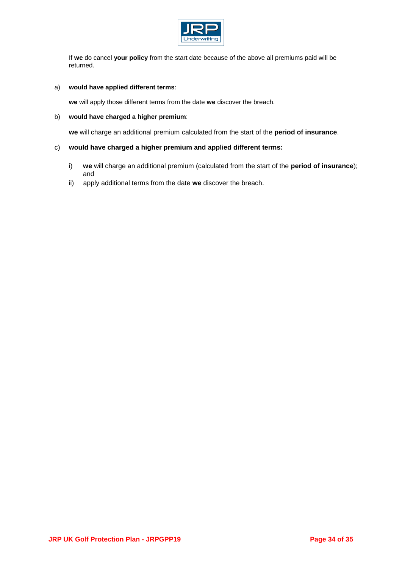

If **we** do cancel **your policy** from the start date because of the above all premiums paid will be returned.

# a) **would have applied different terms**:

**we** will apply those different terms from the date **we** discover the breach.

# b) **would have charged a higher premium**:

**we** will charge an additional premium calculated from the start of the **period of insurance**.

# c) **would have charged a higher premium and applied different terms:**

- i) **we** will charge an additional premium (calculated from the start of the **period of insurance**); and
- ii) apply additional terms from the date **we** discover the breach.